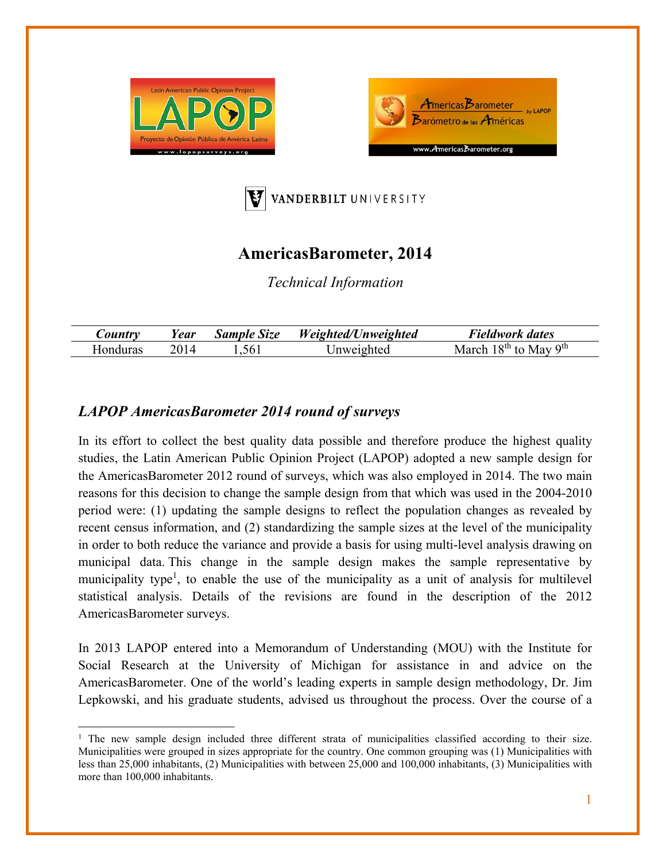





# **AmericasBarometer, 2014**

*Technical Information* 

| Country  | Year | <b>Sample Size</b> | Weighted/Unweighted | <b>Fieldwork dates</b>                           |
|----------|------|--------------------|---------------------|--------------------------------------------------|
| Honduras | 2014 | .561               | Jnweighted          | 18 <sup>th</sup> to May 9 <sup>th</sup><br>March |

## *LAPOP AmericasBarometer 2014 round of surveys*

In its effort to collect the best quality data possible and therefore produce the highest quality studies, the Latin American Public Opinion Project (LAPOP) adopted a new sample design for the AmericasBarometer 2012 round of surveys, which was also employed in 2014. The two main reasons for this decision to change the sample design from that which was used in the 2004-2010 period were: (1) updating the sample designs to reflect the population changes as revealed by recent census information, and (2) standardizing the sample sizes at the level of the municipality in order to both reduce the variance and provide a basis for using multi-level analysis drawing on municipal data. This change in the sample design makes the sample representative by municipality type<sup>1</sup>, to enable the use of the municipality as a unit of analysis for multilevel statistical analysis. Details of the revisions are found in the description of the 2012 AmericasBarometer surveys.

In 2013 LAPOP entered into a Memorandum of Understanding (MOU) with the Institute for Social Research at the University of Michigan for assistance in and advice on the AmericasBarometer. One of the world's leading experts in sample design methodology, Dr. Jim Lepkowski, and his graduate students, advised us throughout the process. Over the course of a

<sup>&</sup>lt;sup>1</sup> The new sample design included three different strata of municipalities classified according to their size. Municipalities were grouped in sizes appropriate for the country. One common grouping was (1) Municipalities with less than 25,000 inhabitants, (2) Municipalities with between 25,000 and 100,000 inhabitants, (3) Municipalities with more than 100,000 inhabitants.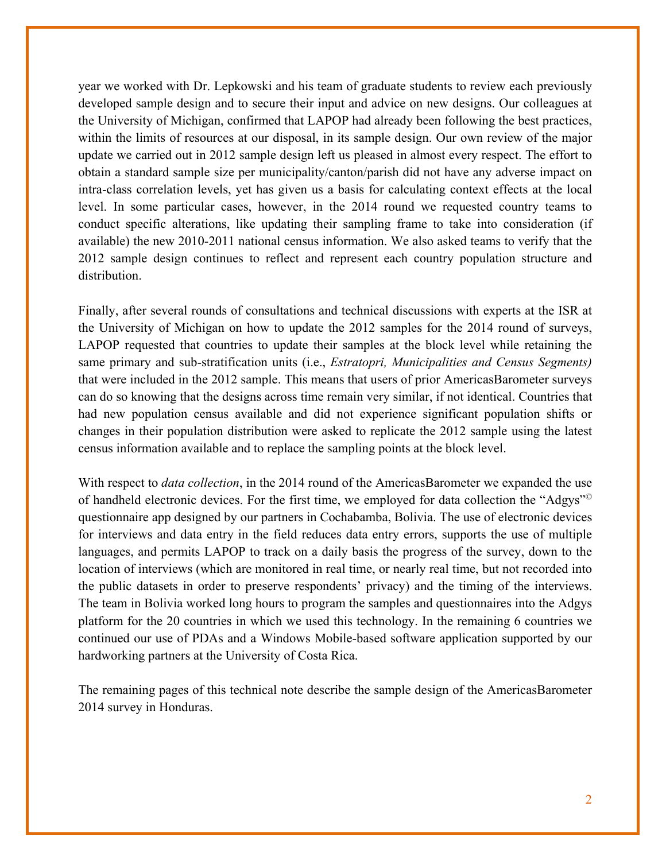year we worked with Dr. Lepkowski and his team of graduate students to review each previously developed sample design and to secure their input and advice on new designs. Our colleagues at the University of Michigan, confirmed that LAPOP had already been following the best practices, within the limits of resources at our disposal, in its sample design. Our own review of the major update we carried out in 2012 sample design left us pleased in almost every respect. The effort to obtain a standard sample size per municipality/canton/parish did not have any adverse impact on intra-class correlation levels, yet has given us a basis for calculating context effects at the local level. In some particular cases, however, in the 2014 round we requested country teams to conduct specific alterations, like updating their sampling frame to take into consideration (if available) the new 2010-2011 national census information. We also asked teams to verify that the 2012 sample design continues to reflect and represent each country population structure and distribution.

Finally, after several rounds of consultations and technical discussions with experts at the ISR at the University of Michigan on how to update the 2012 samples for the 2014 round of surveys, LAPOP requested that countries to update their samples at the block level while retaining the same primary and sub-stratification units (i.e., *Estratopri, Municipalities and Census Segments)*  that were included in the 2012 sample. This means that users of prior AmericasBarometer surveys can do so knowing that the designs across time remain very similar, if not identical. Countries that had new population census available and did not experience significant population shifts or changes in their population distribution were asked to replicate the 2012 sample using the latest census information available and to replace the sampling points at the block level.

With respect to *data collection*, in the 2014 round of the AmericasBarometer we expanded the use of handheld electronic devices. For the first time, we employed for data collection the "Adgys"© questionnaire app designed by our partners in Cochabamba, Bolivia. The use of electronic devices for interviews and data entry in the field reduces data entry errors, supports the use of multiple languages, and permits LAPOP to track on a daily basis the progress of the survey, down to the location of interviews (which are monitored in real time, or nearly real time, but not recorded into the public datasets in order to preserve respondents' privacy) and the timing of the interviews. The team in Bolivia worked long hours to program the samples and questionnaires into the Adgys platform for the 20 countries in which we used this technology. In the remaining 6 countries we continued our use of PDAs and a Windows Mobile-based software application supported by our hardworking partners at the University of Costa Rica.

The remaining pages of this technical note describe the sample design of the AmericasBarometer 2014 survey in Honduras.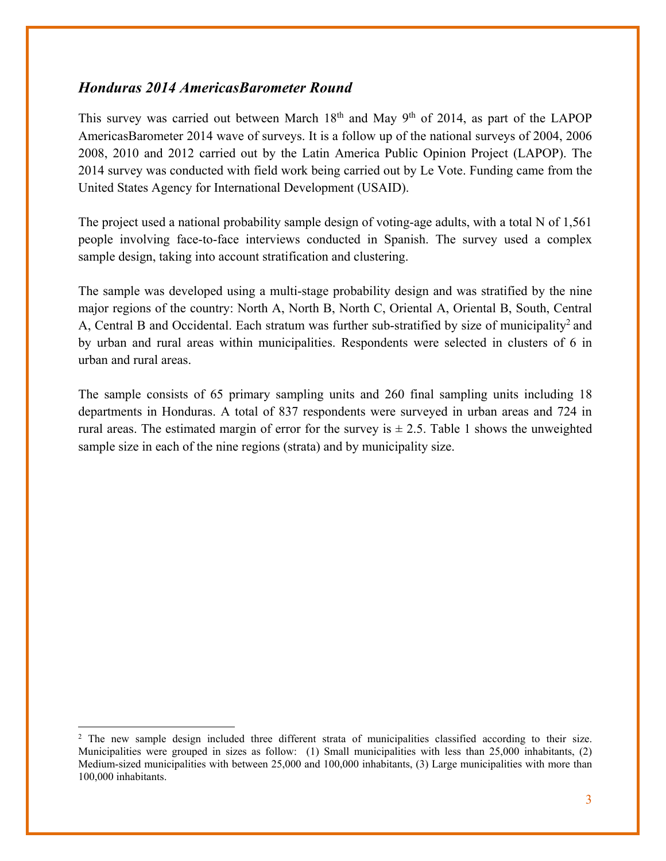### *Honduras 2014 AmericasBarometer Round*

This survey was carried out between March  $18<sup>th</sup>$  and May  $9<sup>th</sup>$  of 2014, as part of the LAPOP AmericasBarometer 2014 wave of surveys. It is a follow up of the national surveys of 2004, 2006 2008, 2010 and 2012 carried out by the Latin America Public Opinion Project (LAPOP). The 2014 survey was conducted with field work being carried out by Le Vote. Funding came from the United States Agency for International Development (USAID).

The project used a national probability sample design of voting-age adults, with a total N of 1,561 people involving face-to-face interviews conducted in Spanish. The survey used a complex sample design, taking into account stratification and clustering.

The sample was developed using a multi-stage probability design and was stratified by the nine major regions of the country: North A, North B, North C, Oriental A, Oriental B, South, Central A, Central B and Occidental. Each stratum was further sub-stratified by size of municipality<sup>2</sup> and by urban and rural areas within municipalities. Respondents were selected in clusters of 6 in urban and rural areas.

The sample consists of 65 primary sampling units and 260 final sampling units including 18 departments in Honduras. A total of 837 respondents were surveyed in urban areas and 724 in rural areas. The estimated margin of error for the survey is  $\pm$  2.5. Table 1 shows the unweighted sample size in each of the nine regions (strata) and by municipality size.

 <sup>2</sup> The new sample design included three different strata of municipalities classified according to their size. Municipalities were grouped in sizes as follow: (1) Small municipalities with less than 25,000 inhabitants, (2) Medium-sized municipalities with between 25,000 and 100,000 inhabitants, (3) Large municipalities with more than 100,000 inhabitants.